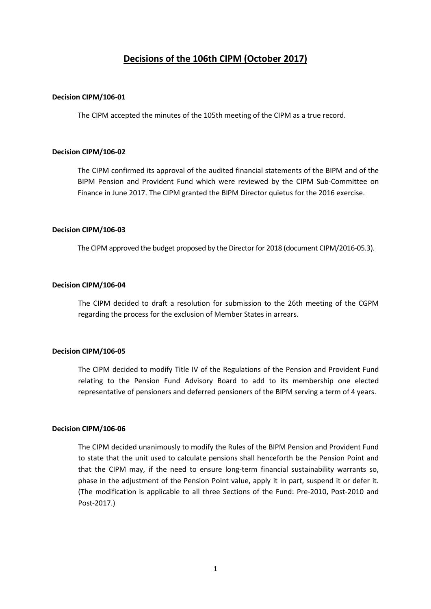# **Decisions of the 106th CIPM (October 2017)**

#### **Decision CIPM/106-01**

The CIPM accepted the minutes of the 105th meeting of the CIPM as a true record.

# **Decision CIPM/106-02**

The CIPM confirmed its approval of the audited financial statements of the BIPM and of the BIPM Pension and Provident Fund which were reviewed by the CIPM Sub-Committee on Finance in June 2017. The CIPM granted the BIPM Director quietus for the 2016 exercise.

# **Decision CIPM/106-03**

The CIPM approved the budget proposed by the Director for 2018 (document CIPM/2016-05.3).

# **Decision CIPM/106-04**

The CIPM decided to draft a resolution for submission to the 26th meeting of the CGPM regarding the process for the exclusion of Member States in arrears.

#### **Decision CIPM/106-05**

The CIPM decided to modify Title IV of the Regulations of the Pension and Provident Fund relating to the Pension Fund Advisory Board to add to its membership one elected representative of pensioners and deferred pensioners of the BIPM serving a term of 4 years.

# **Decision CIPM/106-06**

The CIPM decided unanimously to modify the Rules of the BIPM Pension and Provident Fund to state that the unit used to calculate pensions shall henceforth be the Pension Point and that the CIPM may, if the need to ensure long-term financial sustainability warrants so, phase in the adjustment of the Pension Point value, apply it in part, suspend it or defer it. (The modification is applicable to all three Sections of the Fund: Pre-2010, Post-2010 and Post-2017.)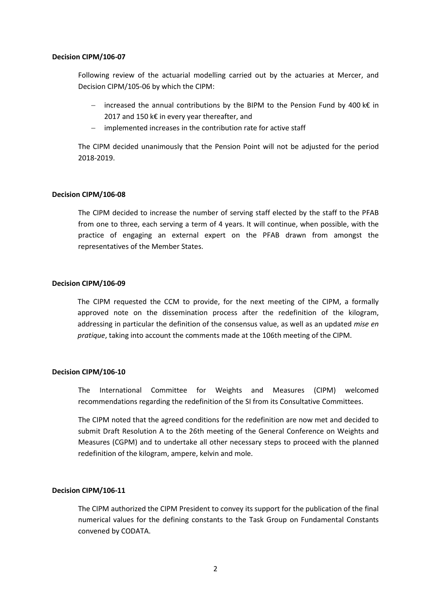Following review of the actuarial modelling carried out by the actuaries at Mercer, and Decision CIPM/105-06 by which the CIPM:

- − increased the annual contributions by the BIPM to the Pension Fund by 400 k€ in 2017 and 150 k€ in every year thereafter, and
- implemented increases in the contribution rate for active staff

The CIPM decided unanimously that the Pension Point will not be adjusted for the period 2018-2019.

# **Decision CIPM/106-08**

The CIPM decided to increase the number of serving staff elected by the staff to the PFAB from one to three, each serving a term of 4 years. It will continue, when possible, with the practice of engaging an external expert on the PFAB drawn from amongst the representatives of the Member States.

# **Decision CIPM/106-09**

The CIPM requested the CCM to provide, for the next meeting of the CIPM, a formally approved note on the dissemination process after the redefinition of the kilogram, addressing in particular the definition of the consensus value, as well as an updated *mise en pratique*, taking into account the comments made at the 106th meeting of the CIPM.

#### **Decision CIPM/106-10**

The International Committee for Weights and Measures (CIPM) welcomed recommendations regarding the redefinition of the SI from its Consultative Committees.

The CIPM noted that the agreed conditions for the redefinition are now met and decided to submit Draft Resolution A to the 26th meeting of the General Conference on Weights and Measures (CGPM) and to undertake all other necessary steps to proceed with the planned redefinition of the kilogram, ampere, kelvin and mole.

# **Decision CIPM/106-11**

The CIPM authorized the CIPM President to convey its support for the publication of the final numerical values for the defining constants to the Task Group on Fundamental Constants convened by CODATA.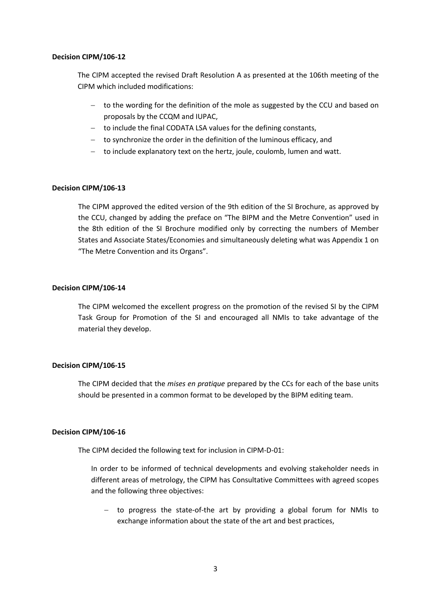The CIPM accepted the revised Draft Resolution A as presented at the 106th meeting of the CIPM which included modifications:

- − to the wording for the definition of the mole as suggested by the CCU and based on proposals by the CCQM and IUPAC,
- − to include the final CODATA LSA values for the defining constants,
- − to synchronize the order in the definition of the luminous efficacy, and
- − to include explanatory text on the hertz, joule, coulomb, lumen and watt.

# **Decision CIPM/106-13**

The CIPM approved the edited version of the 9th edition of the SI Brochure, as approved by the CCU, changed by adding the preface on "The BIPM and the Metre Convention" used in the 8th edition of the SI Brochure modified only by correcting the numbers of Member States and Associate States/Economies and simultaneously deleting what was Appendix 1 on "The Metre Convention and its Organs".

# **Decision CIPM/106-14**

The CIPM welcomed the excellent progress on the promotion of the revised SI by the CIPM Task Group for Promotion of the SI and encouraged all NMIs to take advantage of the material they develop.

#### **Decision CIPM/106-15**

The CIPM decided that the *mises en pratique* prepared by the CCs for each of the base units should be presented in a common format to be developed by the BIPM editing team.

#### **Decision CIPM/106-16**

The CIPM decided the following text for inclusion in CIPM-D-01:

In order to be informed of technical developments and evolving stakeholder needs in different areas of metrology, the CIPM has Consultative Committees with agreed scopes and the following three objectives:

− to progress the state-of-the art by providing a global forum for NMIs to exchange information about the state of the art and best practices,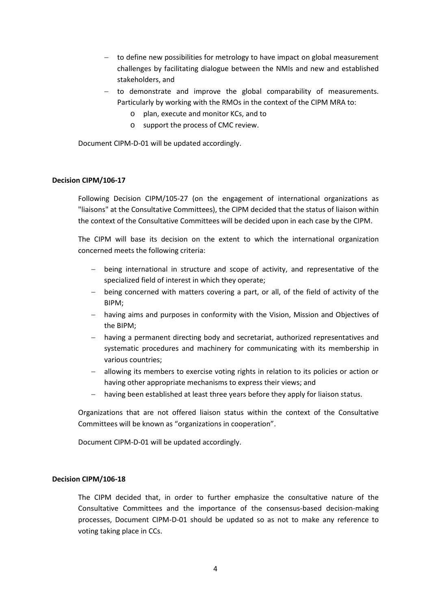- − to define new possibilities for metrology to have impact on global measurement challenges by facilitating dialogue between the NMIs and new and established stakeholders, and
- − to demonstrate and improve the global comparability of measurements. Particularly by working with the RMOs in the context of the CIPM MRA to:
	- o plan, execute and monitor KCs, and to
	- o support the process of CMC review.

Document CIPM-D-01 will be updated accordingly.

# **Decision CIPM/106-17**

Following Decision CIPM/105-27 (on the engagement of international organizations as "liaisons" at the Consultative Committees), the CIPM decided that the status of liaison within the context of the Consultative Committees will be decided upon in each case by the CIPM.

The CIPM will base its decision on the extent to which the international organization concerned meets the following criteria:

- being international in structure and scope of activity, and representative of the specialized field of interest in which they operate;
- being concerned with matters covering a part, or all, of the field of activity of the BIPM;
- − having aims and purposes in conformity with the Vision, Mission and Objectives of the BIPM;
- − having a permanent directing body and secretariat, authorized representatives and systematic procedures and machinery for communicating with its membership in various countries;
- allowing its members to exercise voting rights in relation to its policies or action or having other appropriate mechanisms to express their views; and
- having been established at least three years before they apply for liaison status.

Organizations that are not offered liaison status within the context of the Consultative Committees will be known as "organizations in cooperation".

Document CIPM-D-01 will be updated accordingly.

#### **Decision CIPM/106-18**

The CIPM decided that, in order to further emphasize the consultative nature of the Consultative Committees and the importance of the consensus-based decision-making processes, Document CIPM-D-01 should be updated so as not to make any reference to voting taking place in CCs.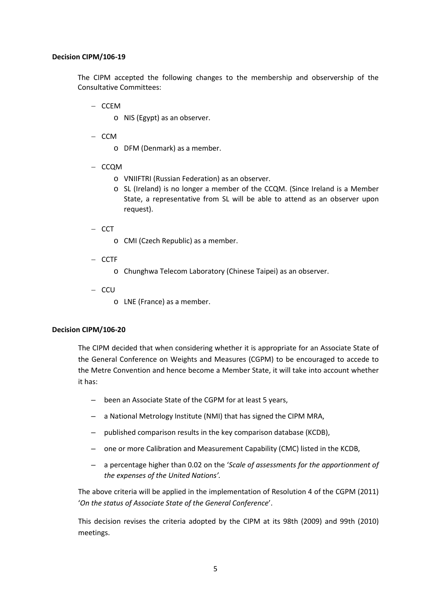The CIPM accepted the following changes to the membership and observership of the Consultative Committees:

− CCEM

o NIS (Egypt) as an observer.

− CCM

- o DFM (Denmark) as a member.
- − CCQM
	- o VNIIFTRI (Russian Federation) as an observer.
	- o SL (Ireland) is no longer a member of the CCQM. (Since Ireland is a Member State, a representative from SL will be able to attend as an observer upon request).
- − CCT
	- o CMI (Czech Republic) as a member.
- − CCTF
	- o Chunghwa Telecom Laboratory (Chinese Taipei) as an observer.
- − CCU
	- o LNE (France) as a member.

# **Decision CIPM/106-20**

The CIPM decided that when considering whether it is appropriate for an Associate State of the General Conference on Weights and Measures (CGPM) to be encouraged to accede to the Metre Convention and hence become a Member State, it will take into account whether it has:

- been an Associate State of the CGPM for at least 5 years,
- a National Metrology Institute (NMI) that has signed the CIPM MRA,
- published comparison results in the key comparison database (KCDB),
- one or more Calibration and Measurement Capability (CMC) listed in the KCDB,
- a percentage higher than 0.02 on the '*Scale of assessments for the apportionment of the expenses of the United Nations'.*

The above criteria will be applied in the implementation of Resolution 4 of the CGPM (2011) '*On the status of Associate State of the General Conference*'.

This decision revises the criteria adopted by the CIPM at its 98th (2009) and 99th (2010) meetings.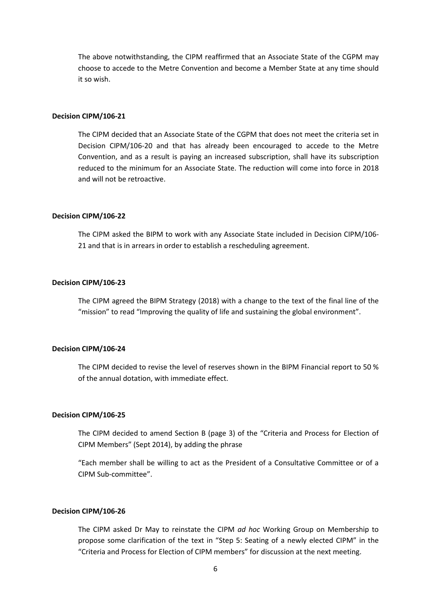The above notwithstanding, the CIPM reaffirmed that an Associate State of the CGPM may choose to accede to the Metre Convention and become a Member State at any time should it so wish.

# **Decision CIPM/106-21**

The CIPM decided that an Associate State of the CGPM that does not meet the criteria set in Decision CIPM/106-20 and that has already been encouraged to accede to the Metre Convention, and as a result is paying an increased subscription, shall have its subscription reduced to the minimum for an Associate State. The reduction will come into force in 2018 and will not be retroactive.

#### **Decision CIPM/106-22**

The CIPM asked the BIPM to work with any Associate State included in Decision CIPM/106- 21 and that is in arrears in order to establish a rescheduling agreement.

#### **Decision CIPM/106-23**

The CIPM agreed the BIPM Strategy (2018) with a change to the text of the final line of the "mission" to read "Improving the quality of life and sustaining the global environment".

#### **Decision CIPM/106-24**

The CIPM decided to revise the level of reserves shown in the BIPM Financial report to 50 % of the annual dotation, with immediate effect.

#### **Decision CIPM/106-25**

The CIPM decided to amend Section B (page 3) of the "Criteria and Process for Election of CIPM Members" (Sept 2014), by adding the phrase

"Each member shall be willing to act as the President of a Consultative Committee or of a CIPM Sub-committee".

#### **Decision CIPM/106-26**

The CIPM asked Dr May to reinstate the CIPM *ad hoc* Working Group on Membership to propose some clarification of the text in "Step 5: Seating of a newly elected CIPM" in the "Criteria and Process for Election of CIPM members" for discussion at the next meeting.